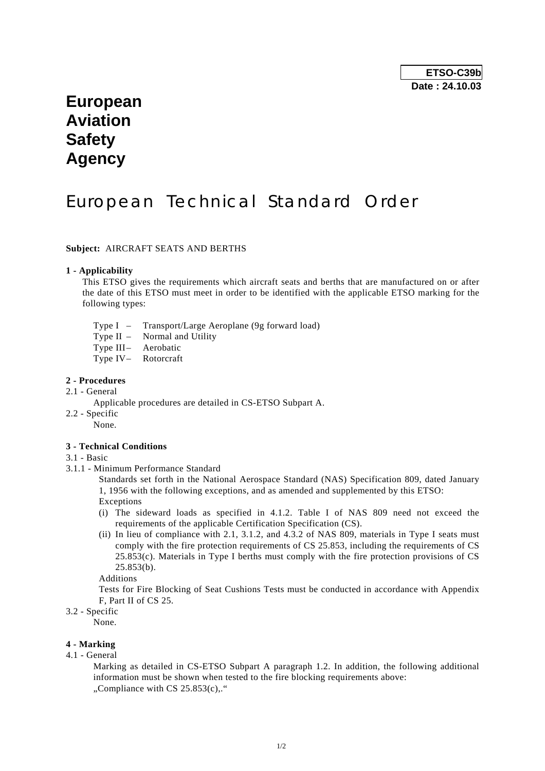## **European Aviation Safety Agency**

# European Technical Standard Order

#### **Subject:** AIRCRAFT SEATS AND BERTHS

#### **1 - Applicability**

 This ETSO gives the requirements which aircraft seats and berths that are manufactured on or after the date of this ETSO must meet in order to be identified with the applicable ETSO marking for the following types:

- Type I Transport/Large Aeroplane (9g forward load)
- Type II Normal and Utility
- Type III- Aerobatic
- Type IV- Rotorcraft

## **2 - Procedures**

- 2.1 General
	- Applicable procedures are detailed in CS-ETSO Subpart A.
- 2.2 Specific

None.

### **3 - Technical Conditions**

- 3.1 Basic
- 3.1.1 Minimum Performance Standard

 Standards set forth in the National Aerospace Standard (NAS) Specification 809, dated January 1, 1956 with the following exceptions, and as amended and supplemented by this ETSO: Exceptions

- (i) The sideward loads as specified in 4.1.2. Table I of NAS 809 need not exceed the requirements of the applicable Certification Specification (CS).
- (ii) In lieu of compliance with 2.1, 3.1.2, and 4.3.2 of NAS 809, materials in Type I seats must comply with the fire protection requirements of CS 25.853, including the requirements of CS 25.853(c). Materials in Type I berths must comply with the fire protection provisions of CS 25.853(b).

Additions

 Tests for Fire Blocking of Seat Cushions Tests must be conducted in accordance with Appendix F, Part II of CS 25.

### 3.2 - Specific

None.

#### **4 - Marking**

4.1 - General

 Marking as detailed in CS-ETSO Subpart A paragraph 1.2. In addition, the following additional information must be shown when tested to the fire blocking requirements above:  $\ldots$ Compliance with CS 25.853(c) $\ldots$ "